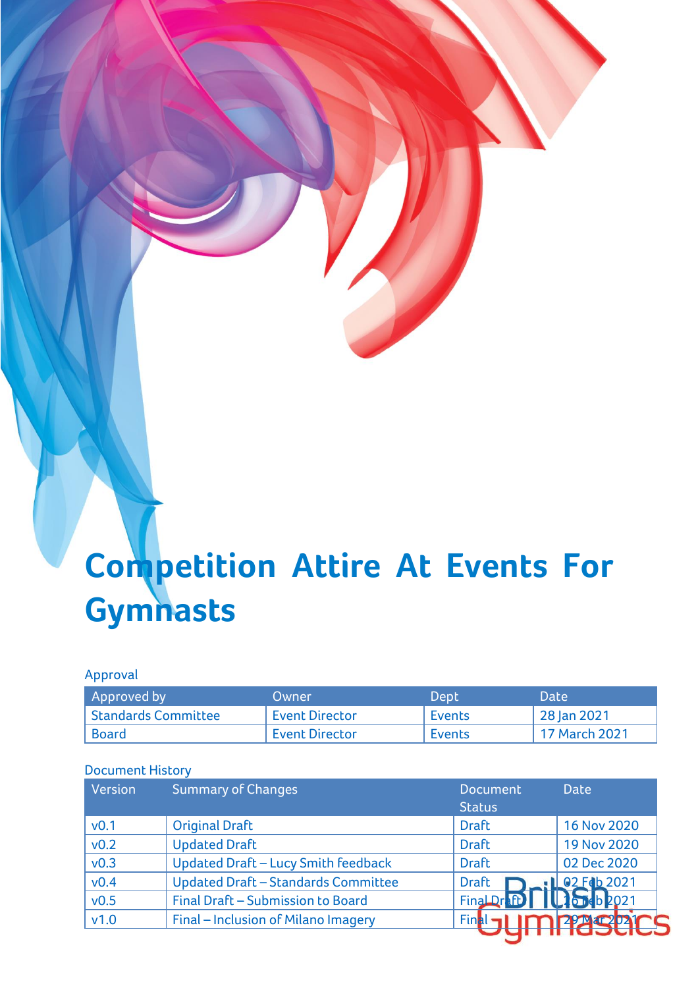# **Competition Attire At Events For Gymnasts**

# Approval

| Approved by         | Owner                 | Dept          | <b>Date</b>   |
|---------------------|-----------------------|---------------|---------------|
| Standards Committee | <b>Event Director</b> | Events        | 28 Jan 2021   |
| Board               | <b>Event Director</b> | <b>Events</b> | 17 March 2021 |

#### Document History

| Version          | <b>Summary of Changes</b>                  | <b>Document</b><br><b>Status</b>         | <b>Date</b>        |
|------------------|--------------------------------------------|------------------------------------------|--------------------|
| v <sub>0.1</sub> | <b>Original Draft</b>                      | <b>Draft</b>                             | 16 Nov 2020        |
| v <sub>0.2</sub> | <b>Updated Draft</b>                       | <b>Draft</b>                             | <b>19 Nov 2020</b> |
| v <sub>0.3</sub> | <b>Updated Draft - Lucy Smith feedback</b> | <b>Draft</b>                             | 02 Dec 2020        |
| v0.4             | <b>Updated Draft - Standards Committee</b> | <b>Draft</b>                             | $102$ Fdb 2021     |
| v0.5             | Final Draft - Submission to Board          | Final Dr FD               10   10   2021 |                    |
| v1.0             | Final - Inclusion of Milano Imagery        | Final                                    |                    |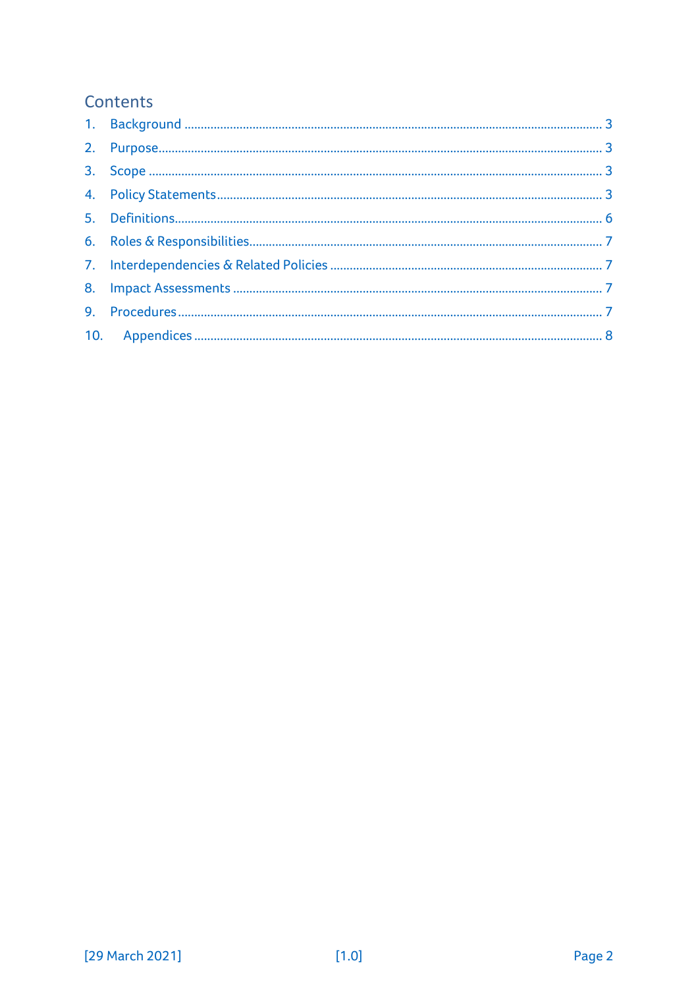# Contents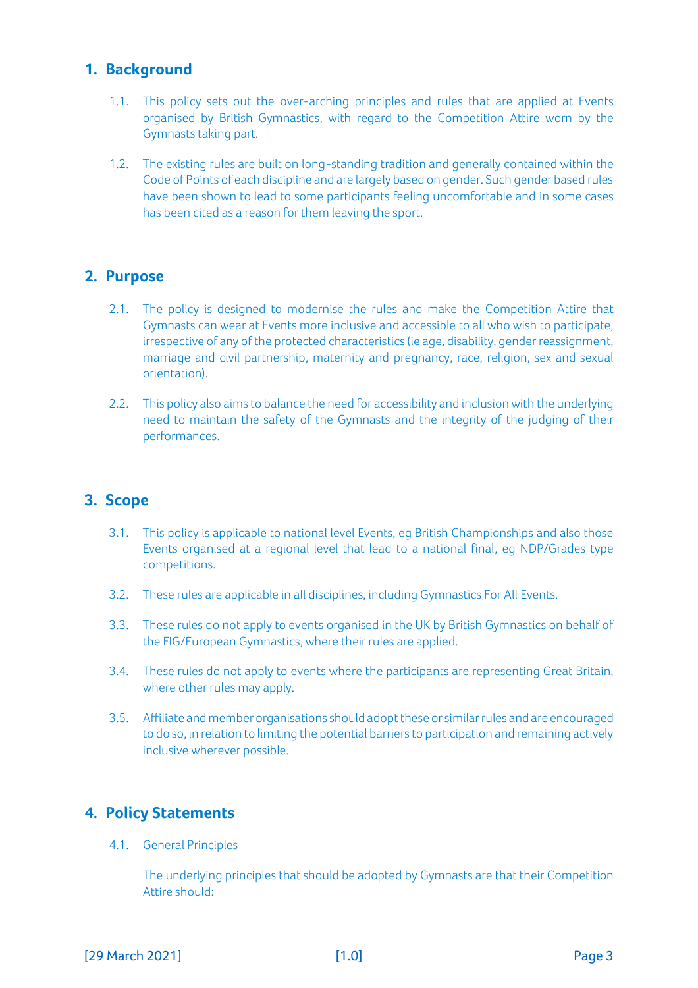# <span id="page-2-0"></span>**1. Background**

- 1.1. This policy sets out the over-arching principles and rules that are applied at Events organised by British Gymnastics, with regard to the Competition Attire worn by the Gymnasts taking part.
- 1.2. The existing rules are built on long-standing tradition and generally contained within the Code of Points of each discipline and are largely based on gender. Such gender based rules have been shown to lead to some participants feeling uncomfortable and in some cases has been cited as a reason for them leaving the sport.

## <span id="page-2-1"></span>**2. Purpose**

- 2.1. The policy is designed to modernise the rules and make the Competition Attire that Gymnasts can wear at Events more inclusive and accessible to all who wish to participate, irrespective of any of the protected characteristics (ie age, disability, gender reassignment, marriage and civil partnership, maternity and pregnancy, race, religion, sex and sexual orientation).
- 2.2. This policy also aims to balance the need for accessibility and inclusion with the underlying need to maintain the safety of the Gymnasts and the integrity of the judging of their performances.

# <span id="page-2-2"></span>**3. Scope**

- 3.1. This policy is applicable to national level Events, eg British Championships and also those Events organised at a regional level that lead to a national final, eg NDP/Grades type competitions.
- 3.2. These rules are applicable in all disciplines, including Gymnastics For All Events.
- 3.3. These rules do not apply to events organised in the UK by British Gymnastics on behalf of the FIG/European Gymnastics, where their rules are applied.
- 3.4. These rules do not apply to events where the participants are representing Great Britain, where other rules may apply.
- 3.5. Affiliate and member organisations should adopt these or similar rules and are encouraged to do so, in relation to limiting the potential barriers to participation and remaining actively inclusive wherever possible.

#### <span id="page-2-3"></span>**4. Policy Statements**

4.1. General Principles

The underlying principles that should be adopted by Gymnasts are that their Competition Attire should: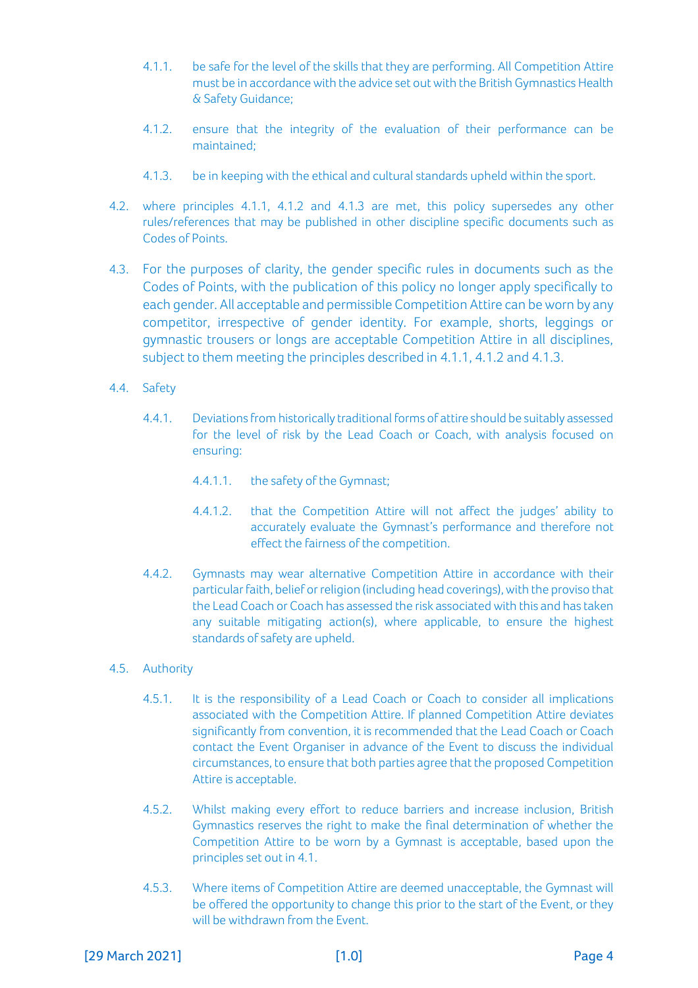- 4.1.1. be safe for the level of the skills that they are performing. All Competition Attire must be in accordance with the advice set out with the British Gymnastics Health & Safety Guidance;
- 4.1.2. ensure that the integrity of the evaluation of their performance can be maintained;
- 4.1.3. be in keeping with the ethical and cultural standards upheld within the sport.
- 4.2. where principles 4.1.1, 4.1.2 and 4.1.3 are met, this policy supersedes any other rules/references that may be published in other discipline specific documents such as Codes of Points.
- 4.3. For the purposes of clarity, the gender specific rules in documents such as the Codes of Points, with the publication of this policy no longer apply specifically to each gender. All acceptable and permissible Competition Attire can be worn by any competitor, irrespective of gender identity. For example, shorts, leggings or gymnastic trousers or longs are acceptable Competition Attire in all disciplines, subject to them meeting the principles described in 4.1.1, 4.1.2 and 4.1.3.
- 4.4. Safety
	- 4.4.1. Deviations from historically traditional forms of attire should be suitably assessed for the level of risk by the Lead Coach or Coach, with analysis focused on ensuring:
		- 4.4.1.1. the safety of the Gymnast;
		- 4.4.1.2. that the Competition Attire will not affect the judges' ability to accurately evaluate the Gymnast's performance and therefore not effect the fairness of the competition.
	- 4.4.2. Gymnasts may wear alternative Competition Attire in accordance with their particular faith, belief or religion (including head coverings), with the proviso that the Lead Coach or Coach has assessed the risk associated with this and has taken any suitable mitigating action(s), where applicable, to ensure the highest standards of safety are upheld.
- 4.5. Authority
	- 4.5.1. It is the responsibility of a Lead Coach or Coach to consider all implications associated with the Competition Attire. If planned Competition Attire deviates significantly from convention, it is recommended that the Lead Coach or Coach contact the Event Organiser in advance of the Event to discuss the individual circumstances, to ensure that both parties agree that the proposed Competition Attire is acceptable.
	- 4.5.2. Whilst making every effort to reduce barriers and increase inclusion, British Gymnastics reserves the right to make the final determination of whether the Competition Attire to be worn by a Gymnast is acceptable, based upon the principles set out in 4.1.
	- 4.5.3. Where items of Competition Attire are deemed unacceptable, the Gymnast will be offered the opportunity to change this prior to the start of the Event, or they will be withdrawn from the Event.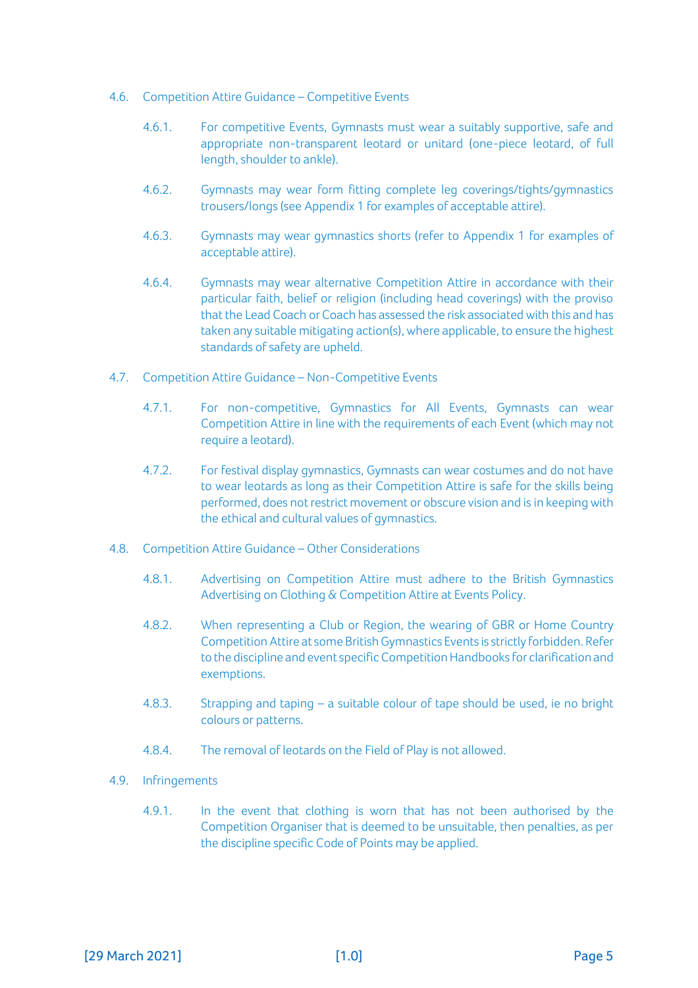- 4.6. Competition Attire Guidance Competitive Events
	- 4.6.1. For competitive Events, Gymnasts must wear a suitably supportive, safe and appropriate non-transparent leotard or unitard (one-piece leotard, of full length, shoulder to ankle).
	- 4.6.2. Gymnasts may wear form fitting complete leg coverings/tights/gymnastics trousers/longs (see Appendix 1 for examples of acceptable attire).
	- 4.6.3. Gymnasts may wear gymnastics shorts (refer to Appendix 1 for examples of acceptable attire).
	- 4.6.4. Gymnasts may wear alternative Competition Attire in accordance with their particular faith, belief or religion (including head coverings) with the proviso that the Lead Coach or Coach has assessed the risk associated with this and has taken any suitable mitigating action(s), where applicable, to ensure the highest standards of safety are upheld.
- 4.7. Competition Attire Guidance Non-Competitive Events
	- 4.7.1. For non-competitive, Gymnastics for All Events, Gymnasts can wear Competition Attire in line with the requirements of each Event (which may not require a leotard).
	- 4.7.2. For festival display gymnastics, Gymnasts can wear costumes and do not have to wear leotards as long as their Competition Attire is safe for the skills being performed, does not restrict movement or obscure vision and is in keeping with the ethical and cultural values of gymnastics.
- 4.8. Competition Attire Guidance Other Considerations
	- 4.8.1. Advertising on Competition Attire must adhere to the [British Gymnastics](https://www.british-gymnastics.org/documents/footer-menu-items/governance-documents)  [Advertising on Clothing & Competition Attire at Events Policy.](https://www.british-gymnastics.org/documents/footer-menu-items/governance-documents)
	- 4.8.2. When representing a Club or Region, the wearing of GBR or Home Country Competition Attire at some British Gymnastics Events is strictly forbidden. Refer to the discipline and event specific Competition Handbooks for clarification and exemptions.
	- 4.8.3. Strapping and taping a suitable colour of tape should be used, ie no bright colours or patterns.
	- 4.8.4. The removal of leotards on the Field of Play is not allowed.
- <span id="page-4-0"></span>4.9. Infringements
	- 4.9.1. In the event that clothing is worn that has not been authorised by the Competition Organiser that is deemed to be unsuitable, then penalties, as per the discipline specific Code of Points may be applied.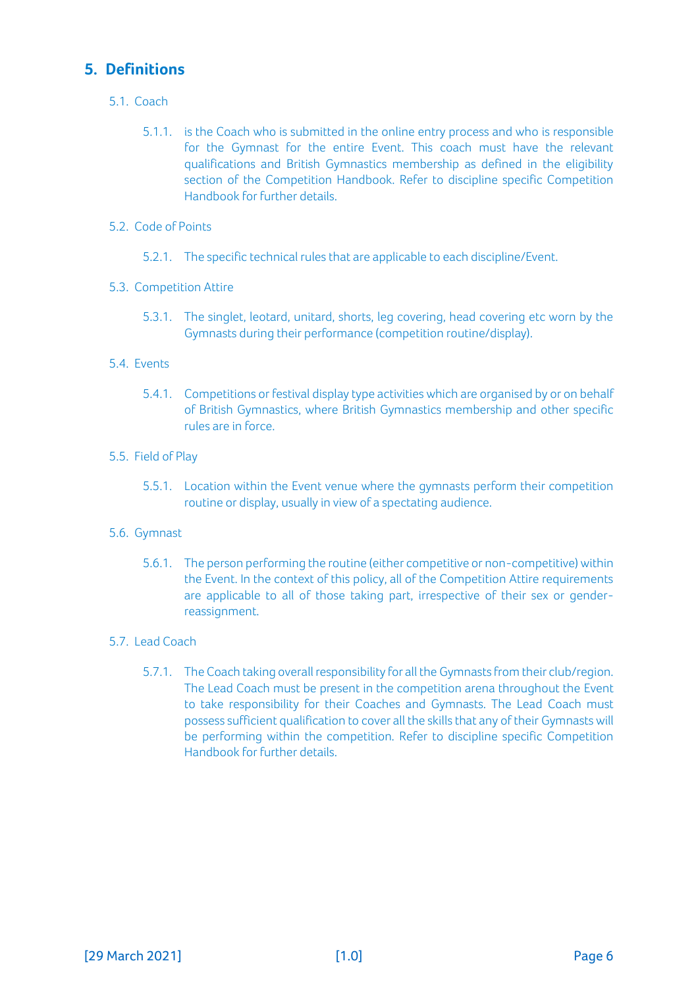# **5. Definitions**

- 5.1. Coach
	- 5.1.1. is the Coach who is submitted in the online entry process and who is responsible for the Gymnast for the entire Event. This coach must have the relevant qualifications and British Gymnastics membership as defined in the eligibility section of the Competition Handbook. Refer to discipline specific Competition Handbook for further details.
- 5.2. Code of Points
	- 5.2.1. The specific technical rules that are applicable to each discipline/Event.
- 5.3. Competition Attire
	- 5.3.1. The singlet, leotard, unitard, shorts, leg covering, head covering etc worn by the Gymnasts during their performance (competition routine/display).
- 5.4. Events
	- 5.4.1. Competitions or festival display type activities which are organised by or on behalf of British Gymnastics, where British Gymnastics membership and other specific rules are in force.
- 5.5. Field of Play
	- 5.5.1. Location within the Event venue where the gymnasts perform their competition routine or display, usually in view of a spectating audience.
- 5.6. Gymnast
	- 5.6.1. The person performing the routine (either competitive or non-competitive) within the Event. In the context of this policy, all of the Competition Attire requirements are applicable to all of those taking part, irrespective of their sex or genderreassignment.
- <span id="page-5-0"></span>5.7. Lead Coach
	- 5.7.1. The Coach taking overall responsibility for all the Gymnasts from their club/region. The Lead Coach must be present in the competition arena throughout the Event to take responsibility for their Coaches and Gymnasts. The Lead Coach must possess sufficient qualification to cover all the skills that any of their Gymnasts will be performing within the competition. Refer to discipline specific Competition Handbook for further details.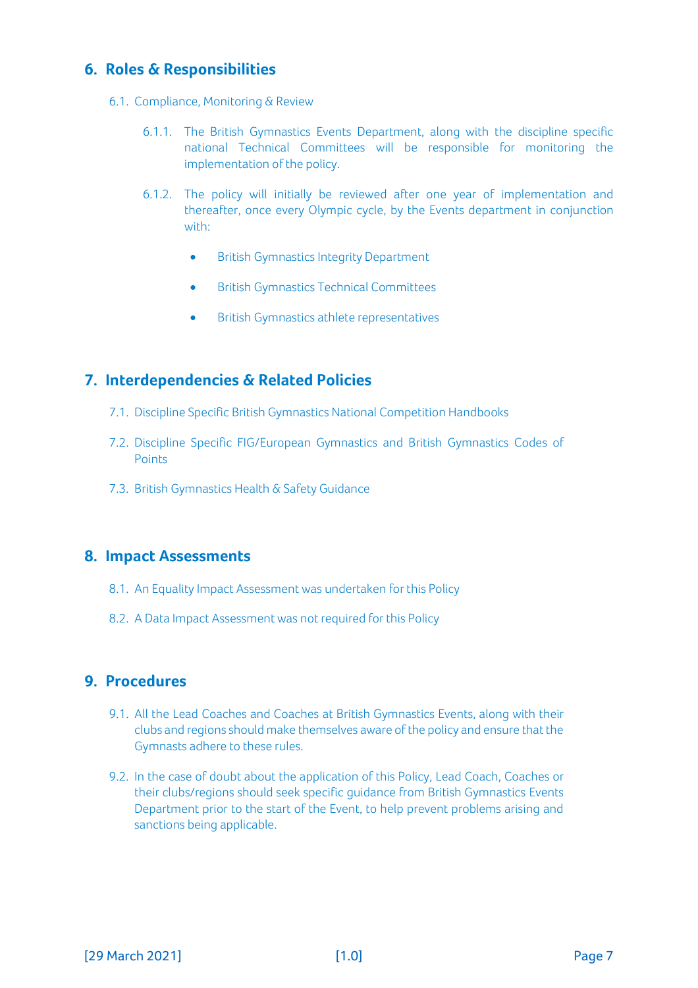# **6. Roles & Responsibilities**

- 6.1. Compliance, Monitoring & Review
	- 6.1.1. The British Gymnastics Events Department, along with the discipline specific national Technical Committees will be responsible for monitoring the implementation of the policy.
	- 6.1.2. The policy will initially be reviewed after one year of implementation and thereafter, once every Olympic cycle, by the Events department in conjunction with:
		- British Gymnastics Integrity Department
		- British Gymnastics Technical Committees
		- British Gymnastics athlete representatives

#### <span id="page-6-0"></span>**7. Interdependencies & Related Policies**

- 7.1. Discipline Specific British Gymnastics National Competition Handbooks
- 7.2. Discipline Specific FIG/European Gymnastics and British Gymnastics Codes of Points
- 7.3. British Gymnastics Health & Safety Guidance

#### <span id="page-6-1"></span>**8. Impact Assessments**

- 8.1. An Equality Impact Assessment was undertaken for this Policy
- 8.2. A Data Impact Assessment was not required for this Policy

#### <span id="page-6-2"></span>**9. Procedures**

- 9.1. All the Lead Coaches and Coaches at British Gymnastics Events, along with their clubs and regions should make themselves aware of the policy and ensure that the Gymnasts adhere to these rules.
- 9.2. In the case of doubt about the application of this Policy, Lead Coach, Coaches or their clubs/regions should seek specific guidance from British Gymnastics Events Department prior to the start of the Event, to help prevent problems arising and sanctions being applicable.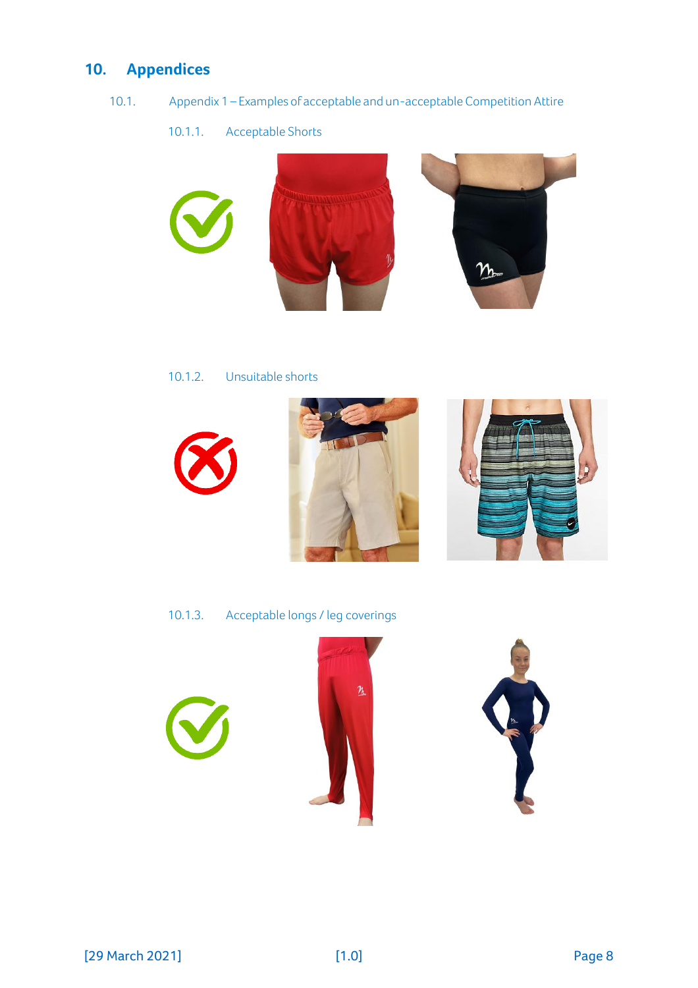# <span id="page-7-0"></span>**10. Appendices**

- 10.1. Appendix 1 Examples of acceptable and un-acceptable Competition Attire
	- 10.1.1. Acceptable Shorts



10.1.2. Unsuitable shorts







10.1.3. Acceptable longs / leg coverings





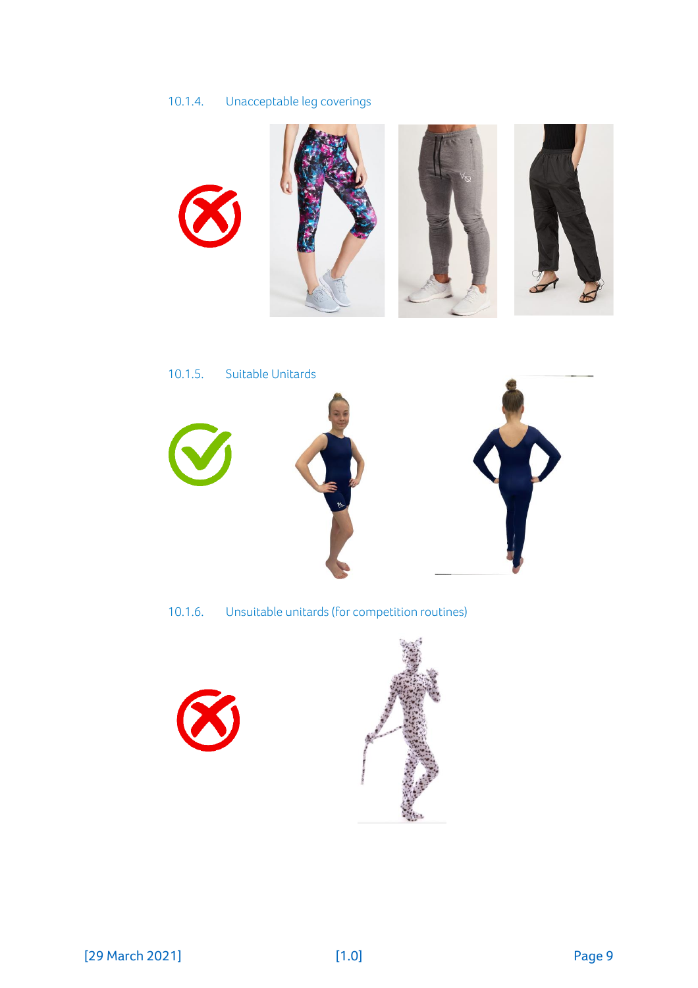# 10.1.4. Unacceptable leg coverings





10.1.6. Unsuitable unitards(for competition routines)